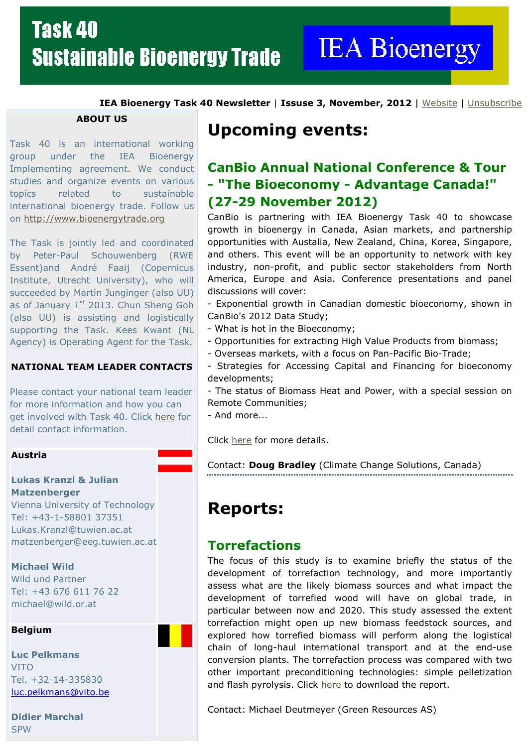**IEA Bioenergy** 

IEA Bioenergy Task 40 Newsletter | Issuse 3, November, 2012 | Website | Unsubscribe

ABOUT US

Task 40 is an international working group under the IEA Bioenergy Implementing agreement. We conduct studies and organize events on various topics related to sustainable international bioenergy trade. Follow us on http://www.bioenergytrade.org

The Task is jointly led and coordinated by Peter-Paul Schouwenberg (RWE Essent)and André Faaij (Copernicus Institute, Utrecht University), who will succeeded by Martin Junginger (also UU) as of January  $1<sup>st</sup>$  2013. Chun Sheng Goh (also UU) is assisting and logistically supporting the Task. Kees Kwant (NL Agency) is Operating Agent for the Task.

#### NATIONAL TEAM LEADER CONTACTS

Please contact your national team leader for more information and how you can get involved with Task 40. Click here for detail contact information.

#### Austria

#### Lukas Kranzl & Julian Matzenberger

Vienna University of Technology Tel: +43-1-58801 37351 Lukas.Kranzl@tuwien.ac.at matzenberger@eeg.tuwien.ac.at

#### Michael Wild

Wild und Partner Tel: +43 676 611 76 22 michael@wild.or.at

#### Belgium

Luc Pelkmans VITO Tel. +32-14-335830 luc.pelkmans@vito.be

Didier Marchal **SPW** 

# Upcoming events:

## CanBio Annual National Conference & Tour - "The Bioeconomy - Advantage Canada!" (27-29 November 2012)

CanBio is partnering with IEA Bioenergy Task 40 to showcase growth in bioenergy in Canada, Asian markets, and partnership opportunities with Austalia, New Zealand, China, Korea, Singapore, and others. This event will be an opportunity to network with key industry, non-profit, and public sector stakeholders from North America, Europe and Asia. Conference presentations and panel discussions will cover:

- Exponential growth in Canadian domestic bioeconomy, shown in CanBio's 2012 Data Study;

- What is hot in the Bioeconomy;
- Opportunities for extracting High Value Products from biomass;
- Overseas markets, with a focus on Pan-Pacific Bio-Trade;
- Strategies for Accessing Capital and Financing for bioeconomy developments;

- The status of Biomass Heat and Power, with a special session on Remote Communities;

- And more...

Click here for more details.

Contact: Doug Bradley (Climate Change Solutions, Canada)

# Reports:

### **Torrefactions**

The focus of this study is to examine briefly the status of the development of torrefaction technology, and more importantly assess what are the likely biomass sources and what impact the development of torrefied wood will have on global trade, in particular between now and 2020. This study assessed the extent torrefaction might open up new biomass feedstock sources, and explored how torrefied biomass will perform along the logistical chain of long-haul international transport and at the end-use conversion plants. The torrefaction process was compared with two other important preconditioning technologies: simple pelletization and flash pyrolysis. Click here to download the report.

Contact: Michael Deutmeyer (Green Resources AS)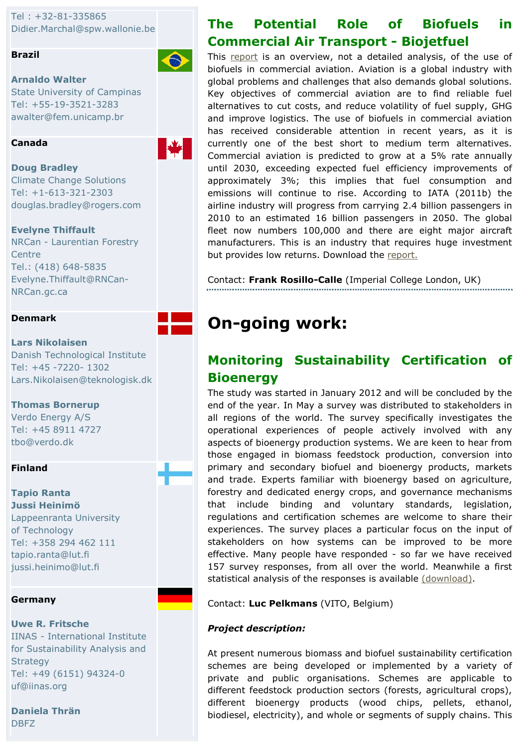Tel : +32-81-335865 Didier.Marchal@spw.wallonie.be

#### Brazil

Arnaldo Walter State University of Campinas Tel: +55-19-3521-3283 awalter@fem.unicamp.br

#### Canada



 $\bigodot$ 

Doug Bradley Climate Change Solutions Tel: +1-613-321-2303 douglas.bradley@rogers.com

#### Evelyne Thiffault

NRCan - Laurentian Forestry **Centre** Tel.: (418) 648-5835 Evelyne.Thiffault@RNCan-NRCan.gc.ca



#### Lars Nikolaisen Danish Technological Institute Tel: +45 -7220- 1302

Lars.Nikolaisen@teknologisk.dk

#### Thomas Bornerup

Verdo Energy A/S Tel: +45 8911 4727 tbo@verdo.dk

#### Finland

#### Tapio Ranta Jussi Heinimö Lappeenranta University of Technology Tel: +358 294 462 111 tapio.ranta@lut.fi jussi.heinimo@lut.fi

#### Germany

Uwe R. Fritsche IINAS - International Institute for Sustainability Analysis and **Strategy** Tel: +49 (6151) 94324-0 uf@iinas.org

Daniela Thrän DBFZ

# The Potential Role of Biofuels in Commercial Air Transport - Biojetfuel

This report is an overview, not a detailed analysis, of the use of biofuels in commercial aviation. Aviation is a global industry with global problems and challenges that also demands global solutions. Key objectives of commercial aviation are to find reliable fuel alternatives to cut costs, and reduce volatility of fuel supply, GHG and improve logistics. The use of biofuels in commercial aviation has received considerable attention in recent years, as it is currently one of the best short to medium term alternatives. Commercial aviation is predicted to grow at a 5% rate annually until 2030, exceeding expected fuel efficiency improvements of approximately 3%; this implies that fuel consumption and emissions will continue to rise. According to IATA (2011b) the airline industry will progress from carrying 2.4 billion passengers in 2010 to an estimated 16 billion passengers in 2050. The global fleet now numbers 100,000 and there are eight major aircraft manufacturers. This is an industry that requires huge investment but provides low returns. Download the report.

Contact: Frank Rosillo-Calle (Imperial College London, UK)

# On-going work:

## Monitoring Sustainability Certification of **Bioenergy**

The study was started in January 2012 and will be concluded by the end of the year. In May a survey was distributed to stakeholders in all regions of the world. The survey specifically investigates the operational experiences of people actively involved with any aspects of bioenergy production systems. We are keen to hear from those engaged in biomass feedstock production, conversion into primary and secondary biofuel and bioenergy products, markets and trade. Experts familiar with bioenergy based on agriculture, forestry and dedicated energy crops, and governance mechanisms that include binding and voluntary standards, legislation, regulations and certification schemes are welcome to share their experiences. The survey places a particular focus on the input of stakeholders on how systems can be improved to be more effective. Many people have responded - so far we have received 157 survey responses, from all over the world. Meanwhile a first statistical analysis of the responses is available (download).

Contact: Luc Pelkmans (VITO, Belgium)

#### Project description:

At present numerous biomass and biofuel sustainability certification schemes are being developed or implemented by a variety of private and public organisations. Schemes are applicable to different feedstock production sectors (forests, agricultural crops), different bioenergy products (wood chips, pellets, ethanol, biodiesel, electricity), and whole or segments of supply chains. This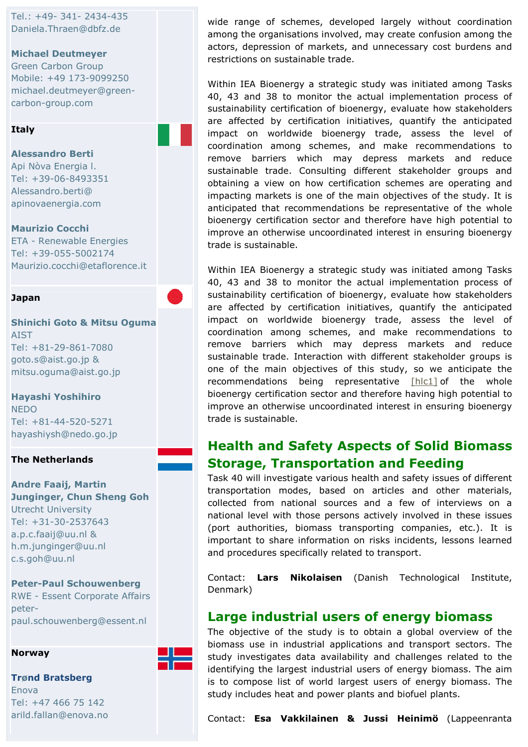Tel.: +49- 341- 2434-435 Daniela.Thraen@dbfz.de

#### Michael Deutmeyer

Green Carbon Group Mobile: +49 173-9099250 michael.deutmeyer@greencarbon-group.com

#### **Italy**

#### Alessandro Berti

Api Nòva Energia l. Tel: +39-06-8493351 Alessandro.berti@ apinovaenergia.com

#### Maurizio Cocchi

ETA - Renewable Energies Tel: +39-055-5002174 Maurizio.cocchi@etaflorence.it

#### Japan

Shinichi Goto & Mitsu Oguma AIST Tel: +81-29-861-7080 goto.s@aist.go.jp & mitsu.oguma@aist.go.jp

#### Hayashi Yoshihiro **NEDO** Tel: +81-44-520-5271 hayashiysh@nedo.go.jp

The Netherlands

Andre Faaij, Martin Junginger, Chun Sheng Goh Utrecht University Tel: +31-30-2537643 a.p.c.faaij@uu.nl & h.m.junginger@uu.nl c.s.goh@uu.nl

Peter-Paul Schouwenberg RWE - Essent Corporate Affairs peterpaul.schouwenberg@essent.nl



#### Trønd Bratsberg Enova Tel: +47 466 75 142 arild.fallan@enova.no

Norway

wide range of schemes, developed largely without coordination among the organisations involved, may create confusion among the actors, depression of markets, and unnecessary cost burdens and restrictions on sustainable trade.

Within IEA Bioenergy a strategic study was initiated among Tasks 40, 43 and 38 to monitor the actual implementation process of sustainability certification of bioenergy, evaluate how stakeholders are affected by certification initiatives, quantify the anticipated impact on worldwide bioenergy trade, assess the level of coordination among schemes, and make recommendations to remove barriers which may depress markets and reduce sustainable trade. Consulting different stakeholder groups and obtaining a view on how certification schemes are operating and impacting markets is one of the main objectives of the study. It is anticipated that recommendations be representative of the whole bioenergy certification sector and therefore have high potential to improve an otherwise uncoordinated interest in ensuring bioenergy trade is sustainable.

Within IEA Bioenergy a strategic study was initiated among Tasks 40, 43 and 38 to monitor the actual implementation process of sustainability certification of bioenergy, evaluate how stakeholders are affected by certification initiatives, quantify the anticipated impact on worldwide bioenergy trade, assess the level of coordination among schemes, and make recommendations to remove barriers which may depress markets and reduce sustainable trade. Interaction with different stakeholder groups is one of the main objectives of this study, so we anticipate the recommendations being representative  $[h|c1]$  of the whole bioenergy certification sector and therefore having high potential to improve an otherwise uncoordinated interest in ensuring bioenergy trade is sustainable.

### Health and Safety Aspects of Solid Biomass Storage, Transportation and Feeding

Task 40 will investigate various health and safety issues of different transportation modes, based on articles and other materials, collected from national sources and a few of interviews on a national level with those persons actively involved in these issues (port authorities, biomass transporting companies, etc.). It is important to share information on risks incidents, lessons learned and procedures specifically related to transport.

Contact: Lars Nikolaisen (Danish Technological Institute, Denmark)

#### Large industrial users of energy biomass

The objective of the study is to obtain a global overview of the biomass use in industrial applications and transport sectors. The study investigates data availability and challenges related to the identifying the largest industrial users of energy biomass. The aim is to compose list of world largest users of energy biomass. The study includes heat and power plants and biofuel plants.

Contact: Esa Vakkilainen & Jussi Heinimö (Lappeenranta